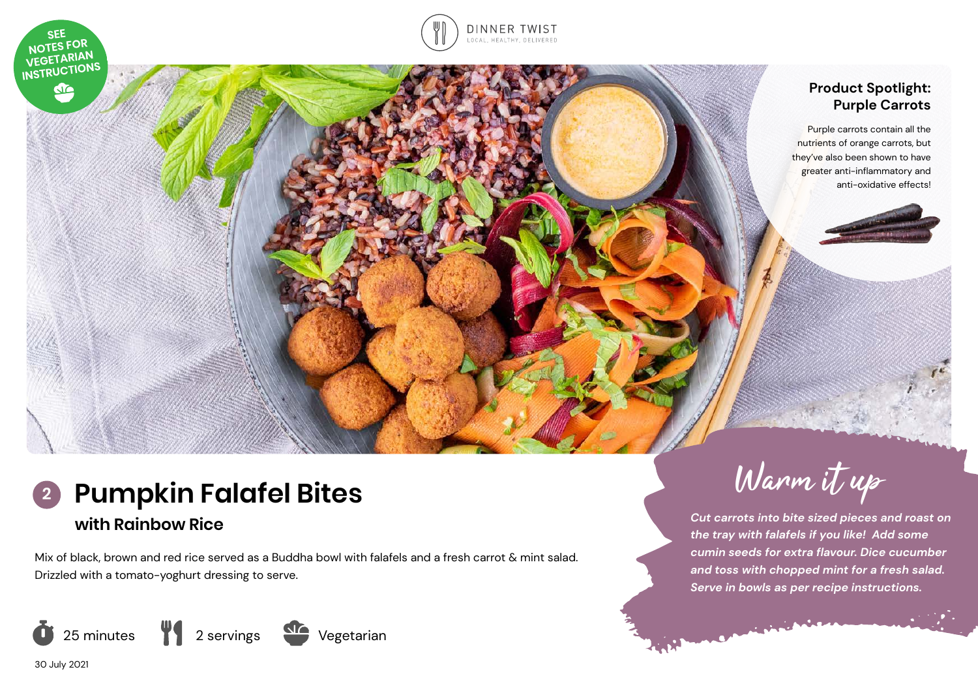



# **Product Spotlight: Purple Carrots**

Purple carrots contain all the nutrients of orange carrots, but they've also been shown to have greater anti-inflammatory and anti-oxidative effects!

# **2** Pumpkin Falafel Bites **1989** Warm if up **with Rainbow Rice**

Mix of black, brown and red rice served as a Buddha bowl with falafels and a fresh carrot & mint salad. Drizzled with a tomato-yoghurt dressing to serve.



*Cut carrots into bite sized pieces and roast on the tray with falafels if you like! Add some cumin seeds for extra flavour. Dice cucumber and toss with chopped mint for a fresh salad. Serve in bowls as per recipe instructions.* 

سند در

30 July 2021